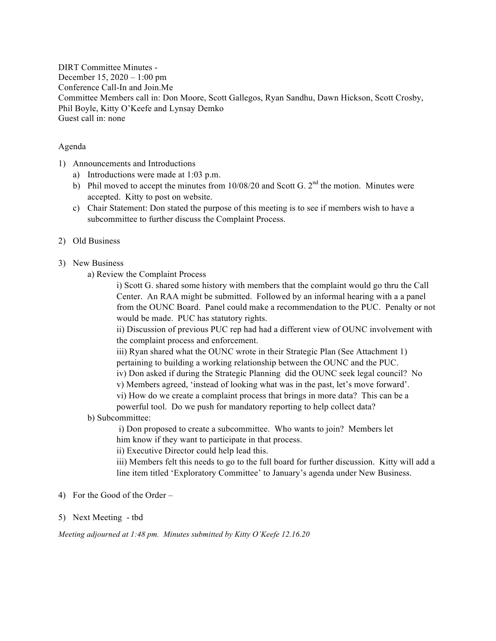DIRT Committee Minutes - December 15, 2020 – 1:00 pm Conference Call-In and Join.Me Committee Members call in: Don Moore, Scott Gallegos, Ryan Sandhu, Dawn Hickson, Scott Crosby, Phil Boyle, Kitty O'Keefe and Lynsay Demko Guest call in: none

## Agenda

- 1) Announcements and Introductions
	- a) Introductions were made at 1:03 p.m.
	- b) Phil moved to accept the minutes from  $10/08/20$  and Scott G.  $2<sup>nd</sup>$  the motion. Minutes were accepted. Kitty to post on website.
	- c) Chair Statement: Don stated the purpose of this meeting is to see if members wish to have a subcommittee to further discuss the Complaint Process.

## 2) Old Business

- 3) New Business
	- a) Review the Complaint Process

i) Scott G. shared some history with members that the complaint would go thru the Call Center. An RAA might be submitted. Followed by an informal hearing with a a panel from the OUNC Board. Panel could make a recommendation to the PUC. Penalty or not would be made. PUC has statutory rights.

ii) Discussion of previous PUC rep had had a different view of OUNC involvement with the complaint process and enforcement.

iii) Ryan shared what the OUNC wrote in their Strategic Plan (See Attachment 1) pertaining to building a working relationship between the OUNC and the PUC.

iv) Don asked if during the Strategic Planning did the OUNC seek legal council? No

v) Members agreed, 'instead of looking what was in the past, let's move forward'.

vi) How do we create a complaint process that brings in more data? This can be a powerful tool. Do we push for mandatory reporting to help collect data?

#### b) Subcommittee:

i) Don proposed to create a subcommittee. Who wants to join? Members let him know if they want to participate in that process.

ii) Executive Director could help lead this.

iii) Members felt this needs to go to the full board for further discussion. Kitty will add a line item titled 'Exploratory Committee' to January's agenda under New Business.

- 4) For the Good of the Order –
- 5) Next Meeting tbd

*Meeting adjourned at 1:48 pm. Minutes submitted by Kitty O'Keefe 12.16.20*